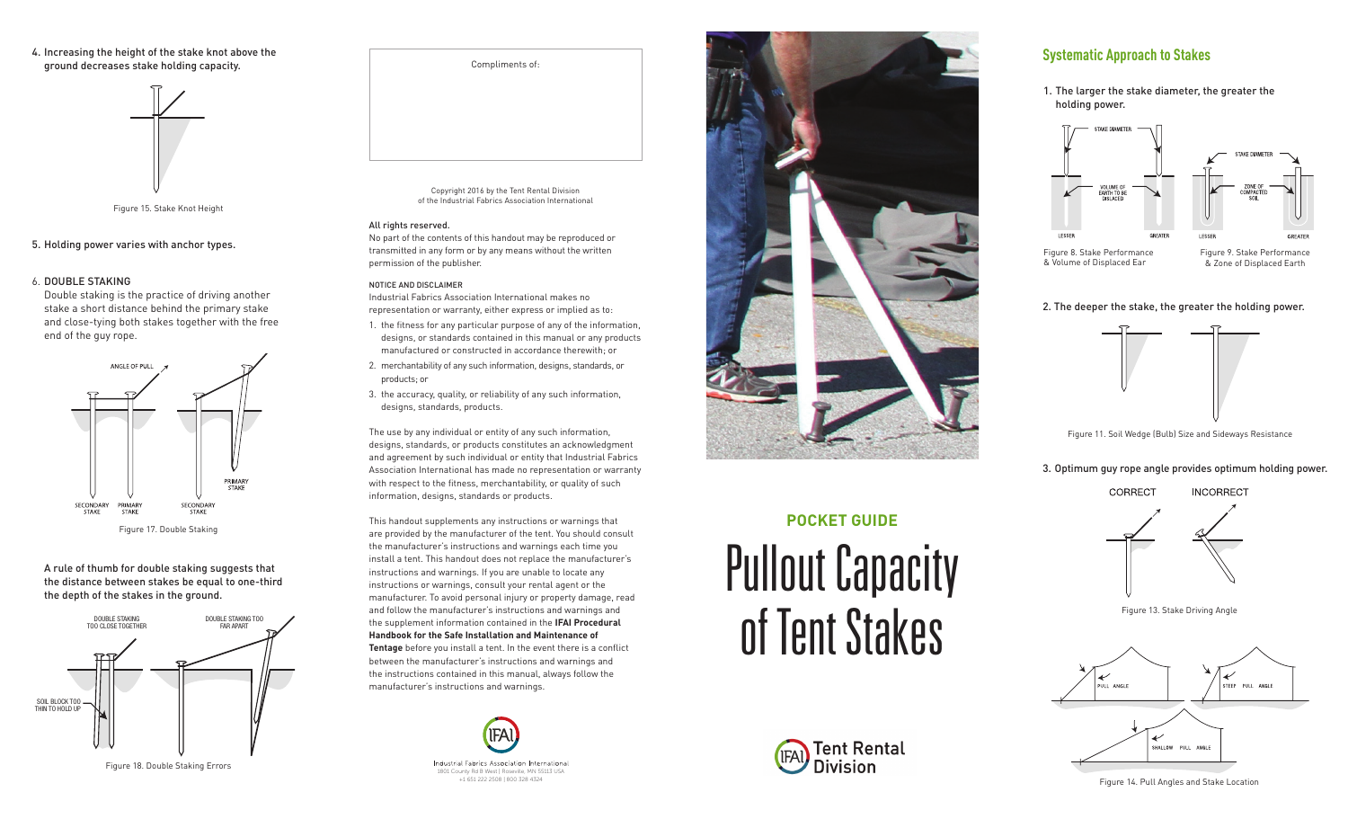# 4. Increasing the height of the stake knot above the ground decreases stake holding capacity.



Figure 15. Stake Knot Height

# 5. Holding power varies with anchor types.

# 6. DOUBLE STAKING

Double staking is the practice of driving another stake a short distance behind the primary stake and close-tying both stakes together with the free end of the guy rope.



A rule of thumb for double staking suggests that the distance between stakes be equal to one-third the depth of the stakes in the ground.



Figure 18. Double Staking Errors

Compliments of:

Copyright 2016 by the Tent Rental Division of the Industrial Fabrics Association International

### All rights reserved.

No part of the contents of this handout may be reproduced or transmitted in any form or by any means without the written permission of the publisher.

### NOTICE AND DISCLAIMER

Industrial Fabrics Association International makes no representation or warranty, either express or implied as to:

- 1. the fitness for any particular purpose of any of the information, designs, or standards contained in this manual or any products manufactured or constructed in accordance therewith; or
- 2. merchantability of any such information, designs, standards, or products; or
- 3. the accuracy, quality, or reliability of any such information, designs, standards, products.

The use by any individual or entity of any such information, designs, standards, or products constitutes an acknowledgment and agreement by such individual or entity that Industrial Fabrics Association International has made no representation or warranty with respect to the fitness, merchantability, or quality of such information, designs, standards or products.

This handout supplements any instructions or warnings that are provided by the manufacturer of the tent. You should consult the manufacturer's instructions and warnings each time you install a tent. This handout does not replace the manufacturer's instructions and warnings. If you are unable to locate any instructions or warnings, consult your rental agent or the manufacturer. To avoid personal injury or property damage, read and follow the manufacturer's instructions and warnings and the supplement information contained in the **IFAI Procedural Handbook for the Safe Installation and Maintenance of Tentage** before you install a tent. In the event there is a conflict between the manufacturer's instructions and warnings and the instructions contained in this manual, always follow the manufacturer's instructions and warnings.



Industrial Fabrics Association International 1801 County Rd B West | Roseville, MN 55113 USA +1 651 222 2508 | 800 328 4324



# **Pocket Guide**

# Pullout Capacity of Tent Stakes



# **Systematic Approach to Stakes**

1. The larger the stake diameter, the greater the holding power.



Figure 8. Stake Performance & Volume of Displaced Ear

Figure 9. Stake Performance & Zone of Displaced Earth

# 2. The deeper the stake, the greater the holding power.



Figure 11. Soil Wedge (Bulb) Size and Sideways Resistance

# 3. Optimum guy rope angle provides optimum holding power.



Figure 13. Stake Driving Angle



Figure 14. Pull Angles and Stake Location